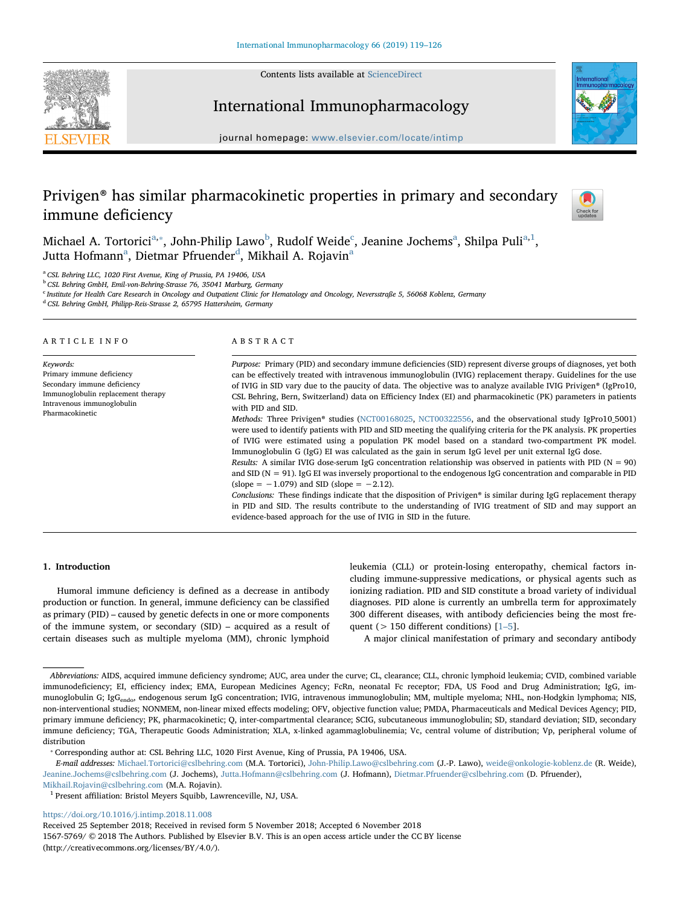Contents lists available at [ScienceDirect](http://www.sciencedirect.com/science/journal/15675769)



# International Immunopharmacology



journal homepage: [www.elsevier.com/locate/intimp](https://www.elsevier.com/locate/intimp)

# Privigen® has similar pharmacokinetic properties in primary and secondary immune deficiency



Mi[c](#page-0-3)h[a](#page-0-0)el A. Tortorici $^{\rm a, *},$  $^{\rm a, *},$  $^{\rm a, *},$  John-Philip Lawo $^{\rm b}$  $^{\rm b}$  $^{\rm b}$ , Rudolf Weide $^{\rm c}$ , Jeanine Jochems $^{\rm a}$ , Shilpa Puli $^{\rm a, 1},$  $^{\rm a, 1},$  $^{\rm a, 1},$ Jutt[a](#page-0-0) Hofmann<sup>a</sup>, Dietmar Pfruen[d](#page-0-5)er<sup>d</sup>, Mikhail A. Rojavin<sup>a</sup>

<span id="page-0-0"></span><sup>a</sup> CSL Behring LLC, 1020 First Avenue, King of Prussia, PA 19406, USA

<span id="page-0-2"></span><sup>b</sup> CSL Behring GmbH, Emil-von-Behring-Strasse 76, 35041 Marburg, Germany

<span id="page-0-3"></span><sup>c</sup> Institute for Health Care Research in Oncology and Outpatient Clinic for Hematology and Oncology, Neversstraße 5, 56068 Koblenz, Germany

<span id="page-0-5"></span><sup>d</sup> CSL Behring GmbH, Philipp-Reis-Strasse 2, 65795 Hattersheim, Germany

| ARTICLE INFO                                                                                                                                                 | ABSTRACT                                                                                                                                                                                                                                                                                                                                                                                                                                                                                                                                                                                                                                                                                                                                                                                                                                                                                                                                                                                                                                                                                                                                                                                                                                                                                                                                                                                                                                                                                                                                 |  |  |
|--------------------------------------------------------------------------------------------------------------------------------------------------------------|------------------------------------------------------------------------------------------------------------------------------------------------------------------------------------------------------------------------------------------------------------------------------------------------------------------------------------------------------------------------------------------------------------------------------------------------------------------------------------------------------------------------------------------------------------------------------------------------------------------------------------------------------------------------------------------------------------------------------------------------------------------------------------------------------------------------------------------------------------------------------------------------------------------------------------------------------------------------------------------------------------------------------------------------------------------------------------------------------------------------------------------------------------------------------------------------------------------------------------------------------------------------------------------------------------------------------------------------------------------------------------------------------------------------------------------------------------------------------------------------------------------------------------------|--|--|
| Keywords:<br>Primary immune deficiency<br>Secondary immune deficiency<br>Immunoglobulin replacement therapy<br>Intravenous immunoglobulin<br>Pharmacokinetic | <i>Purpose:</i> Primary (PID) and secondary immune deficiencies (SID) represent diverse groups of diagnoses, yet both<br>can be effectively treated with intravenous immunoglobulin (IVIG) replacement therapy. Guidelines for the use<br>of IVIG in SID vary due to the paucity of data. The objective was to analyze available IVIG Privigen® (IgPro10,<br>CSL Behring, Bern, Switzerland) data on Efficiency Index (EI) and pharmacokinetic (PK) parameters in patients<br>with PID and SID.<br>Methods: Three Privigen® studies (NCT00168025, NCT00322556, and the observational study IgPro10 5001)<br>were used to identify patients with PID and SID meeting the qualifying criteria for the PK analysis. PK properties<br>of IVIG were estimated using a population PK model based on a standard two-compartment PK model.<br>Immunoglobulin G (IgG) EI was calculated as the gain in serum IgG level per unit external IgG dose.<br>Results: A similar IVIG dose-serum IgG concentration relationship was observed in patients with PID ( $N = 90$ )<br>and SID ( $N = 91$ ). IgG EI was inversely proportional to the endogenous IgG concentration and comparable in PID<br>$(slope = -1.079)$ and SID $(slope = -2.12)$ .<br>Conclusions: These findings indicate that the disposition of Privigen® is similar during IgG replacement therapy<br>in PID and SID. The results contribute to the understanding of IVIG treatment of SID and may support an<br>evidence-based approach for the use of IVIG in SID in the future. |  |  |

## 1. Introduction

Humoral immune deficiency is defined as a decrease in antibody production or function. In general, immune deficiency can be classified as primary (PID) – caused by genetic defects in one or more components of the immune system, or secondary (SID) – acquired as a result of certain diseases such as multiple myeloma (MM), chronic lymphoid

leukemia (CLL) or protein-losing enteropathy, chemical factors including immune-suppressive medications, or physical agents such as ionizing radiation. PID and SID constitute a broad variety of individual diagnoses. PID alone is currently an umbrella term for approximately 300 different diseases, with antibody deficiencies being the most frequent (> 150 different conditions) [1–[5\]](#page-6-0).

A major clinical manifestation of primary and secondary antibody

<https://doi.org/10.1016/j.intimp.2018.11.008>

Received 25 September 2018; Received in revised form 5 November 2018; Accepted 6 November 2018 1567-5769/ © 2018 The Authors. Published by Elsevier B.V. This is an open access article under the CC BY license (http://creativecommons.org/licenses/BY/4.0/).

Abbreviations: AIDS, acquired immune deficiency syndrome; AUC, area under the curve; CL, clearance; CLL, chronic lymphoid leukemia; CVID, combined variable immunodeficiency; EI, efficiency index; EMA, European Medicines Agency; FcRn, neonatal Fc receptor; FDA, US Food and Drug Administration; IgG, immunoglobulin G; IgG<sub>endo</sub>, endogenous serum IgG concentration; IVIG, intravenous immunoglobulin; MM, multiple myeloma; NHL, non-Hodgkin lymphoma; NIS, non-interventional studies; NONMEM, non-linear mixed effects modeling; OFV, objective function value; PMDA, Pharmaceuticals and Medical Devices Agency; PID, primary immune deficiency; PK, pharmacokinetic; Q, inter-compartmental clearance; SCIG, subcutaneous immunoglobulin; SD, standard deviation; SID, secondary immune deficiency; TGA, Therapeutic Goods Administration; XLA, x-linked agammaglobulinemia; Vc, central volume of distribution; Vp, peripheral volume of distribution

<span id="page-0-1"></span><sup>⁎</sup> Corresponding author at: CSL Behring LLC, 1020 First Avenue, King of Prussia, PA 19406, USA.

E-mail addresses: [Michael.Tortorici@cslbehring.com](mailto:Michael.Tortorici@cslbehring.com) (M.A. Tortorici), [John-Philip.Lawo@cslbehring.com](mailto:John-Philip.Lawo@cslbehring.com) (J.-P. Lawo), [weide@onkologie-koblenz.de](mailto:weide@onkologie-koblenz.de) (R. Weide), [Jeanine.Jochems@cslbehring.com](mailto:Jeanine.Jochems@cslbehring.com) (J. Jochems), [Jutta.Hofmann@cslbehring.com](mailto:Jutta.Hofmann@cslbehring.com) (J. Hofmann), [Dietmar.Pfruender@cslbehring.com](mailto:Dietmar.Pfruender@cslbehring.com) (D. Pfruender), [Mikhail.Rojavin@cslbehring.com](mailto:Mikhail.Rojavin@cslbehring.com) (M.A. Rojavin).

<span id="page-0-4"></span><sup>1</sup> Present affiliation: Bristol Meyers Squibb, Lawrenceville, NJ, USA.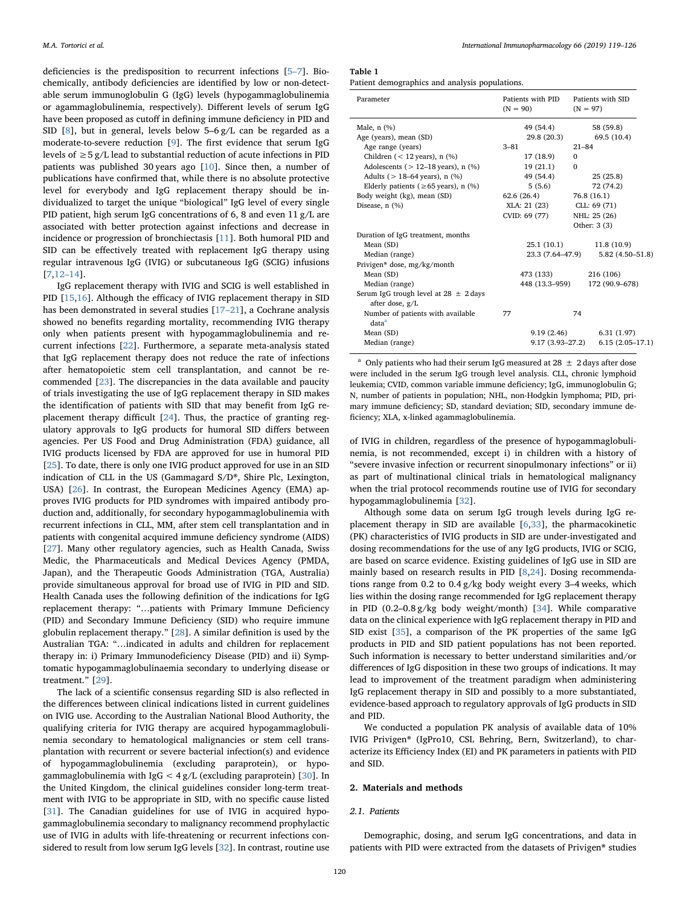deficiencies is the predisposition to recurrent infections [5–[7\]](#page-6-1). Biochemically, antibody deficiencies are identified by low or non-detectable serum immunoglobulin G (IgG) levels (hypogammaglobulinemia or agammaglobulinemia, respectively). Different levels of serum IgG have been proposed as cutoff in defining immune deficiency in PID and SID [\[8\]](#page-6-2), but in general, levels below 5–6 g/L can be regarded as a moderate-to-severe reduction [[9](#page-6-3)]. The first evidence that serum IgG levels of ≥5 g/L lead to substantial reduction of acute infections in PID patients was published 30 years ago [[10\]](#page-6-4). Since then, a number of publications have confirmed that, while there is no absolute protective level for everybody and IgG replacement therapy should be individualized to target the unique "biological" IgG level of every single PID patient, high serum IgG concentrations of 6, 8 and even 11 g/L are associated with better protection against infections and decrease in incidence or progression of bronchiectasis [\[11](#page-6-5)]. Both humoral PID and SID can be effectively treated with replacement IgG therapy using regular intravenous IgG (IVIG) or subcutaneous IgG (SCIG) infusions [[7](#page-6-6),12–[14\]](#page-6-7).

IgG replacement therapy with IVIG and SCIG is well established in PID [\[15](#page-6-8),[16](#page-6-9)]. Although the efficacy of IVIG replacement therapy in SID has been demonstrated in several studies [17–[21](#page-6-10)], a Cochrane analysis showed no benefits regarding mortality, recommending IVIG therapy only when patients present with hypogammaglobulinemia and recurrent infections [[22\]](#page-6-11). Furthermore, a separate meta-analysis stated that IgG replacement therapy does not reduce the rate of infections after hematopoietic stem cell transplantation, and cannot be recommended [[23\]](#page-6-12). The discrepancies in the data available and paucity of trials investigating the use of IgG replacement therapy in SID makes the identification of patients with SID that may benefit from IgG replacement therapy difficult [\[24](#page-6-13)]. Thus, the practice of granting regulatory approvals to IgG products for humoral SID differs between agencies. Per US Food and Drug Administration (FDA) guidance, all IVIG products licensed by FDA are approved for use in humoral PID [[25\]](#page-6-14). To date, there is only one IVIG product approved for use in an SID indication of CLL in the US (Gammagard S/D®, Shire Plc, Lexington, USA) [\[26](#page-6-15)]. In contrast, the European Medicines Agency (EMA) approves IVIG products for PID syndromes with impaired antibody production and, additionally, for secondary hypogammaglobulinemia with recurrent infections in CLL, MM, after stem cell transplantation and in patients with congenital acquired immune deficiency syndrome (AIDS) [[27\]](#page-6-16). Many other regulatory agencies, such as Health Canada, Swiss Medic, the Pharmaceuticals and Medical Devices Agency (PMDA, Japan), and the Therapeutic Goods Administration (TGA, Australia) provide simultaneous approval for broad use of IVIG in PID and SID. Health Canada uses the following definition of the indications for IgG replacement therapy: "…patients with Primary Immune Deficiency (PID) and Secondary Immune Deficiency (SID) who require immune globulin replacement therapy." [\[28](#page-6-17)]. A similar definition is used by the Australian TGA: "…indicated in adults and children for replacement therapy in: i) Primary Immunodeficiency Disease (PID) and ii) Symptomatic hypogammaglobulinaemia secondary to underlying disease or treatment." [[29\]](#page-6-18).

The lack of a scientific consensus regarding SID is also reflected in the differences between clinical indications listed in current guidelines on IVIG use. According to the Australian National Blood Authority, the qualifying criteria for IVIG therapy are acquired hypogammaglobulinemia secondary to hematological malignancies or stem cell transplantation with recurrent or severe bacterial infection(s) and evidence of hypogammaglobulinemia (excluding paraprotein), or hypogammaglobulinemia with IgG  $<$  4 g/L (excluding paraprotein) [\[30](#page-6-19)]. In the United Kingdom, the clinical guidelines consider long-term treatment with IVIG to be appropriate in SID, with no specific cause listed [[31\]](#page-6-20). The Canadian guidelines for use of IVIG in acquired hypogammaglobulinemia secondary to malignancy recommend prophylactic use of IVIG in adults with life-threatening or recurrent infections considered to result from low serum IgG levels [[32\]](#page-6-21). In contrast, routine use

# <span id="page-1-1"></span>Table 1

| Patient demographics and analysis populations. |  |  |
|------------------------------------------------|--|--|
|------------------------------------------------|--|--|

| Parameter                                                    | Patients with PID<br>$(N = 90)$ | Patients with SID<br>$(N = 97)$ |
|--------------------------------------------------------------|---------------------------------|---------------------------------|
| Male, $n$ $(\%)$                                             | 49 (54.4)                       | 58 (59.8)                       |
| Age (years), mean (SD)                                       | 29.8 (20.3)                     | 69.5 (10.4)                     |
| Age range (years)                                            | $3 - 81$                        | $21 - 84$                       |
| Children $(< 12$ years), n $(\%)$                            | 17(18.9)                        | $\Omega$                        |
| Adolescents ( $>$ 12–18 years), n $(\%)$                     | 19(21.1)                        | $\mathbf{0}$                    |
| Adults ( $> 18-64$ years), n $(\%)$                          | 49 (54.4)                       | 25(25.8)                        |
| Elderly patients ( $\geq 65$ years), n (%)                   | 5(5.6)                          | 72 (74.2)                       |
| Body weight (kg), mean (SD)                                  | 62.6(26.4)                      | 76.8 (16.1)                     |
| Disease, n (%)                                               | XLA: 21 (23)                    | CLL: 69 (71)                    |
|                                                              | CVID: 69 (77)                   | NHL: 25 (26)                    |
|                                                              |                                 | Other: 3 (3)                    |
| Duration of IgG treatment, months                            |                                 |                                 |
| Mean (SD)                                                    | 25.1(10.1)                      | 11.8(10.9)                      |
| Median (range)                                               | 23.3 (7.64–47.9)                | $5.82(4.50 - 51.8)$             |
| Privigen® dose, mg/kg/month                                  |                                 |                                 |
| Mean (SD)                                                    | 473 (133)                       | 216 (106)                       |
| Median (range)                                               | 448 (13.3–959)                  | 172 (90.9-678)                  |
| Serum IgG trough level at $28 \pm 2$ days<br>after dose, g/L |                                 |                                 |
| Number of patients with available                            | 77                              | 74                              |
| data <sup>a</sup>                                            |                                 |                                 |
| Mean (SD)                                                    | 9.19 (2.46)                     | 6.31(1.97)                      |
| Median (range)                                               | $9.17(3.93 - 27.2)$             | $6.15(2.05-17.1)$               |

<span id="page-1-0"></span><sup>a</sup> Only patients who had their serum IgG measured at 28  $\pm$  2 days after dose were included in the serum IgG trough level analysis. CLL, chronic lymphoid leukemia; CVID, common variable immune deficiency; IgG, immunoglobulin G; N, number of patients in population; NHL, non-Hodgkin lymphoma; PID, primary immune deficiency; SD, standard deviation; SID, secondary immune deficiency; XLA, x-linked agammaglobulinemia.

of IVIG in children, regardless of the presence of hypogammaglobulinemia, is not recommended, except i) in children with a history of "severe invasive infection or recurrent sinopulmonary infections" or ii) as part of multinational clinical trials in hematological malignancy when the trial protocol recommends routine use of IVIG for secondary hypogammaglobulinemia [\[32](#page-6-21)].

Although some data on serum IgG trough levels during IgG replacement therapy in SID are available [[6](#page-6-22)[,33](#page-6-23)], the pharmacokinetic (PK) characteristics of IVIG products in SID are under-investigated and dosing recommendations for the use of any IgG products, IVIG or SCIG, are based on scarce evidence. Existing guidelines of IgG use in SID are mainly based on research results in PID [[8](#page-6-2)[,24](#page-6-13)]. Dosing recommendations range from 0.2 to 0.4 g/kg body weight every 3–4 weeks, which lies within the dosing range recommended for IgG replacement therapy in PID (0.2–0.8 g/kg body weight/month) [[34\]](#page-6-24). While comparative data on the clinical experience with IgG replacement therapy in PID and SID exist [[35\]](#page-6-25), a comparison of the PK properties of the same IgG products in PID and SID patient populations has not been reported. Such information is necessary to better understand similarities and/or differences of IgG disposition in these two groups of indications. It may lead to improvement of the treatment paradigm when administering IgG replacement therapy in SID and possibly to a more substantiated, evidence-based approach to regulatory approvals of IgG products in SID and PID.

We conducted a population PK analysis of available data of 10% IVIG Privigen® (IgPro10, CSL Behring, Bern, Switzerland), to characterize its Efficiency Index (EI) and PK parameters in patients with PID and SID.

## 2. Materials and methods

## 2.1. Patients

Demographic, dosing, and serum IgG concentrations, and data in patients with PID were extracted from the datasets of Privigen® studies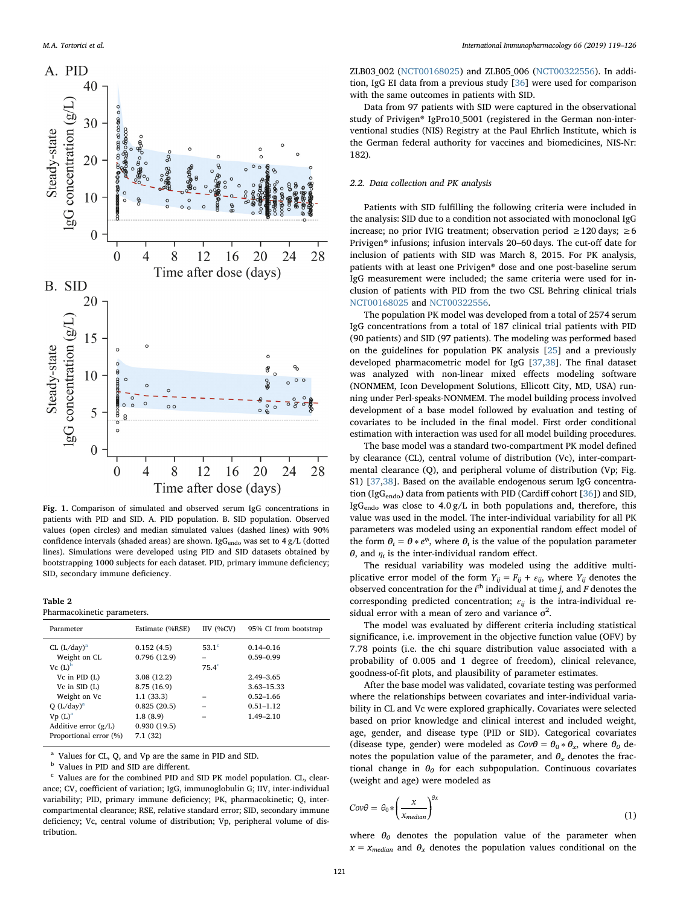<span id="page-2-3"></span>

Fig. 1. Comparison of simulated and observed serum IgG concentrations in patients with PID and SID. A. PID population. B. SID population. Observed values (open circles) and median simulated values (dashed lines) with 90% confidence intervals (shaded areas) are shown. IgG<sub>endo</sub> was set to 4 g/L (dotted lines). Simulations were developed using PID and SID datasets obtained by bootstrapping 1000 subjects for each dataset. PID, primary immune deficiency; SID, secondary immune deficiency.

### <span id="page-2-4"></span>Table 2

Pharmacokinetic parameters.

| Parameter               | Estimate (%RSE) | IIV $(%CV)$       | 95% CI from bootstrap |
|-------------------------|-----------------|-------------------|-----------------------|
| CL (L/day) <sup>a</sup> | 0.152(4.5)      | $53.1^{\circ}$    | $0.14 - 0.16$         |
| Weight on CL            | 0.796(12.9)     | -                 | $0.59 - 0.99$         |
| $Vc(L)^b$               |                 | 75.4 <sup>c</sup> |                       |
| $Vc$ in PID $(L)$       | 3.08(12.2)      |                   | $2.49 - 3.65$         |
| $Vc$ in $SID(L)$        | 8.75 (16.9)     |                   | 3.63-15.33            |
| Weight on Vc            | 1.1(33.3)       |                   | $0.52 - 1.66$         |
| Q $(L/day)^a$           | 0.825(20.5)     |                   | $0.51 - 1.12$         |
| $Vp(L)^a$               | 1.8(8.9)        |                   | $1.49 - 2.10$         |
| Additive error $(g/L)$  | 0.930(19.5)     |                   |                       |
| Proportional error (%)  | 7.1(32)         |                   |                       |

<span id="page-2-0"></span>Values for CL, Q, and Vp are the same in PID and SID.

<span id="page-2-2"></span> $^{\rm b}$  Values in PID and SID are different.

<span id="page-2-1"></span><sup>c</sup> Values are for the combined PID and SID PK model population. CL, clearance; CV, coefficient of variation; IgG, immunoglobulin G; IIV, inter-individual variability; PID, primary immune deficiency; PK, pharmacokinetic; Q, intercompartmental clearance; RSE, relative standard error; SID, secondary immune deficiency; Vc, central volume of distribution; Vp, peripheral volume of distribution.

ZLB03\_002 [\(NCT00168025\)](http://clinicaltrials.gov/show/NCT00168025) and ZLB05\_006 ([NCT00322556](http://clinicaltrials.gov/show/NCT00322556)). In addition, IgG EI data from a previous study [\[36](#page-6-26)] were used for comparison with the same outcomes in patients with SID.

Data from 97 patients with SID were captured in the observational study of Privigen® IgPro10\_5001 (registered in the German non-interventional studies (NIS) Registry at the Paul Ehrlich Institute, which is the German federal authority for vaccines and biomedicines, NIS-Nr: 182).

### 2.2. Data collection and PK analysis

Patients with SID fulfilling the following criteria were included in the analysis: SID due to a condition not associated with monoclonal IgG increase; no prior IVIG treatment; observation period ≥120 days; ≥6 Privigen® infusions; infusion intervals 20–60 days. The cut-off date for inclusion of patients with SID was March 8, 2015. For PK analysis, patients with at least one Privigen® dose and one post-baseline serum IgG measurement were included; the same criteria were used for inclusion of patients with PID from the two CSL Behring clinical trials [NCT00168025](http://clinicaltrials.gov/show/NCT00168025) and [NCT00322556.](http://clinicaltrials.gov/show/NCT00322556)

The population PK model was developed from a total of 2574 serum IgG concentrations from a total of 187 clinical trial patients with PID (90 patients) and SID (97 patients). The modeling was performed based on the guidelines for population PK analysis [[25\]](#page-6-14) and a previously developed pharmacometric model for IgG [[37](#page-6-27),[38\]](#page-6-28). The final dataset was analyzed with non-linear mixed effects modeling software (NONMEM, Icon Development Solutions, Ellicott City, MD, USA) running under Perl-speaks-NONMEM. The model building process involved development of a base model followed by evaluation and testing of covariates to be included in the final model. First order conditional estimation with interaction was used for all model building procedures.

The base model was a standard two-compartment PK model defined by clearance (CL), central volume of distribution (Vc), inter-compartmental clearance (Q), and peripheral volume of distribution (Vp; Fig. S1) [\[37](#page-6-27),[38\]](#page-6-28). Based on the available endogenous serum IgG concentra-tion (IgG<sub>endo</sub>) data from patients with PID (Cardiff cohort [[36\]](#page-6-26)) and SID, IgGendo was close to 4.0 g/L in both populations and, therefore, this value was used in the model. The inter-individual variability for all PK parameters was modeled using an exponential random effect model of the form  $\theta_i = \theta * e^{\eta_i}$ , where  $\theta_i$  is the value of the population parameter θ, and  $η<sub>i</sub>$  is the inter-individual random effect.

The residual variability was modeled using the additive multiplicative error model of the form  $Y_{ij} = F_{ij} + \varepsilon_{ij}$ , where  $Y_{ij}$  denotes the observed concentration for the  $i^{\text{th}}$  individual at time j, and F denotes the corresponding predicted concentration;  $\varepsilon_{ii}$  is the intra-individual residual error with a mean of zero and variance  $\sigma^2$ .

The model was evaluated by different criteria including statistical significance, i.e. improvement in the objective function value (OFV) by 7.78 points (i.e. the chi square distribution value associated with a probability of 0.005 and 1 degree of freedom), clinical relevance, goodness-of-fit plots, and plausibility of parameter estimates.

After the base model was validated, covariate testing was performed where the relationships between covariates and inter-individual variability in CL and Vc were explored graphically. Covariates were selected based on prior knowledge and clinical interest and included weight, age, gender, and disease type (PID or SID). Categorical covariates (disease type, gender) were modeled as  $Cov\theta = \theta_0 * \theta_x$ , where  $\theta_0$  denotes the population value of the parameter, and  $\theta_x$  denotes the fractional change in  $\theta_0$  for each subpopulation. Continuous covariates (weight and age) were modeled as

$$
Cov\theta = \theta_0 * \left(\frac{x}{x_{median}}\right)^{\theta x} \tag{1}
$$

where  $\theta_0$  denotes the population value of the parameter when  $x=x_{median}$  and  $\theta_x$  denotes the population values conditional on the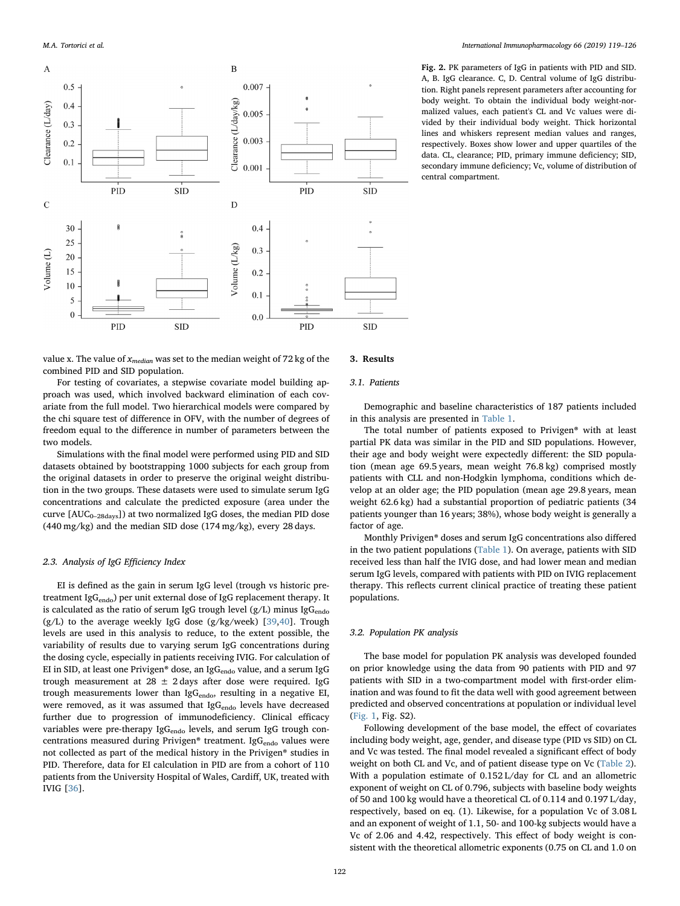<span id="page-3-0"></span>

Fig. 2. PK parameters of IgG in patients with PID and SID. A, B. IgG clearance. C, D. Central volume of IgG distribution. Right panels represent parameters after accounting for body weight. To obtain the individual body weight-normalized values, each patient's CL and Vc values were divided by their individual body weight. Thick horizontal lines and whiskers represent median values and ranges, respectively. Boxes show lower and upper quartiles of the data. CL, clearance; PID, primary immune deficiency; SID, secondary immune deficiency; Vc, volume of distribution of central compartment.

value x. The value of  $x_{median}$  was set to the median weight of 72 kg of the combined PID and SID population.

For testing of covariates, a stepwise covariate model building approach was used, which involved backward elimination of each covariate from the full model. Two hierarchical models were compared by the chi square test of difference in OFV, with the number of degrees of freedom equal to the difference in number of parameters between the two models.

Simulations with the final model were performed using PID and SID datasets obtained by bootstrapping 1000 subjects for each group from the original datasets in order to preserve the original weight distribution in the two groups. These datasets were used to simulate serum IgG concentrations and calculate the predicted exposure (area under the curve  $[AUC_{0-28\text{days}}]$ ) at two normalized IgG doses, the median PID dose  $(440 \text{ mg/kg})$  and the median SID dose  $(174 \text{ mg/kg})$ , every 28 days.

## 2.3. Analysis of IgG Efficiency Index

EI is defined as the gain in serum IgG level (trough vs historic pretreatment IgG<sub>endo</sub>) per unit external dose of IgG replacement therapy. It is calculated as the ratio of serum IgG trough level ( $g/L$ ) minus Ig $G_{endo}$ (g/L) to the average weekly IgG dose (g/kg/week) [[39,](#page-6-29)[40\]](#page-6-30). Trough levels are used in this analysis to reduce, to the extent possible, the variability of results due to varying serum IgG concentrations during the dosing cycle, especially in patients receiving IVIG. For calculation of EI in SID, at least one Privigen® dose, an Ig $G_{\text{endo}}$  value, and a serum IgG trough measurement at 28  $\pm$  2 days after dose were required. IgG trough measurements lower than IgG<sub>endo</sub>, resulting in a negative EI, were removed, as it was assumed that IgG<sub>endo</sub> levels have decreased further due to progression of immunodeficiency. Clinical efficacy variables were pre-therapy IgG<sub>endo</sub> levels, and serum IgG trough concentrations measured during Privigen® treatment. IgG<sub>endo</sub> values were not collected as part of the medical history in the Privigen® studies in PID. Therefore, data for EI calculation in PID are from a cohort of 110 patients from the University Hospital of Wales, Cardiff, UK, treated with IVIG [[36\]](#page-6-26).

## 3. Results

### 3.1. Patients

Demographic and baseline characteristics of 187 patients included in this analysis are presented in [Table 1](#page-1-1).

The total number of patients exposed to Privigen® with at least partial PK data was similar in the PID and SID populations. However, their age and body weight were expectedly different: the SID population (mean age 69.5 years, mean weight 76.8 kg) comprised mostly patients with CLL and non-Hodgkin lymphoma, conditions which develop at an older age; the PID population (mean age 29.8 years, mean weight 62.6 kg) had a substantial proportion of pediatric patients (34 patients younger than 16 years; 38%), whose body weight is generally a factor of age.

Monthly Privigen® doses and serum IgG concentrations also differed in the two patient populations ([Table 1\)](#page-1-1). On average, patients with SID received less than half the IVIG dose, and had lower mean and median serum IgG levels, compared with patients with PID on IVIG replacement therapy. This reflects current clinical practice of treating these patient populations.

#### 3.2. Population PK analysis

The base model for population PK analysis was developed founded on prior knowledge using the data from 90 patients with PID and 97 patients with SID in a two-compartment model with first-order elimination and was found to fit the data well with good agreement between predicted and observed concentrations at population or individual level ([Fig. 1,](#page-2-3) Fig. S2).

Following development of the base model, the effect of covariates including body weight, age, gender, and disease type (PID vs SID) on CL and Vc was tested. The final model revealed a significant effect of body weight on both CL and Vc, and of patient disease type on Vc [\(Table 2](#page-2-4)). With a population estimate of 0.152 L/day for CL and an allometric exponent of weight on CL of 0.796, subjects with baseline body weights of 50 and 100 kg would have a theoretical CL of 0.114 and 0.197 L/day, respectively, based on eq. (1). Likewise, for a population Vc of 3.08 L and an exponent of weight of 1.1, 50- and 100-kg subjects would have a Vc of 2.06 and 4.42, respectively. This effect of body weight is consistent with the theoretical allometric exponents (0.75 on CL and 1.0 on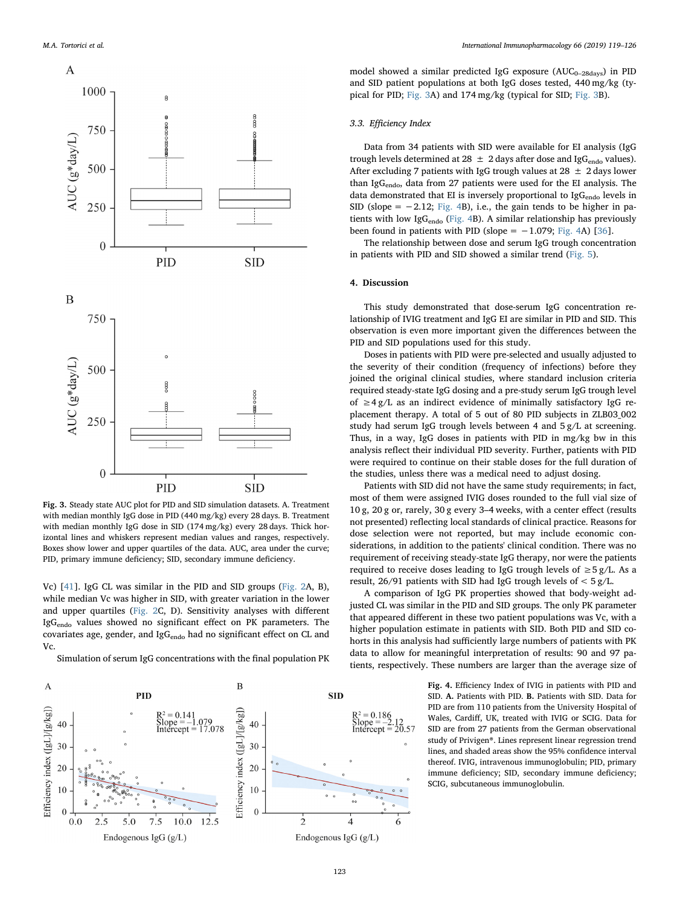<span id="page-4-0"></span>

Fig. 3. Steady state AUC plot for PID and SID simulation datasets. A. Treatment with median monthly IgG dose in PID (440 mg/kg) every 28 days. B. Treatment with median monthly IgG dose in SID (174 mg/kg) every 28 days. Thick horizontal lines and whiskers represent median values and ranges, respectively. Boxes show lower and upper quartiles of the data. AUC, area under the curve; PID, primary immune deficiency; SID, secondary immune deficiency.

Vc) [\[41](#page-6-31)]. IgG CL was similar in the PID and SID groups [\(Fig. 2A](#page-3-0), B), while median Vc was higher in SID, with greater variation in the lower and upper quartiles ([Fig. 2](#page-3-0)C, D). Sensitivity analyses with different IgGendo values showed no significant effect on PK parameters. The covariates age, gender, and IgG<sub>endo</sub> had no significant effect on CL and Vc.

Simulation of serum IgG concentrations with the final population PK

<span id="page-4-1"></span>

model showed a similar predicted IgG exposure  $(AUC_{0-28\text{days}})$  in PID and SID patient populations at both IgG doses tested, 440 mg/kg (typical for PID; [Fig. 3A](#page-4-0)) and 174 mg/kg (typical for SID; [Fig. 3](#page-4-0)B).

## 3.3. Efficiency Index

Data from 34 patients with SID were available for EI analysis (IgG trough levels determined at 28  $\pm$  2 days after dose and IgG<sub>endo</sub> values). After excluding 7 patients with IgG trough values at  $28 \pm 2$  days lower than Ig $G_{\text{endo}}$ , data from 27 patients were used for the EI analysis. The data demonstrated that EI is inversely proportional to  $\log G_{\text{endo}}$  levels in SID (slope =  $-2.12$ ; [Fig. 4](#page-4-1)B), i.e., the gain tends to be higher in pa-tients with low IgG<sub>endo</sub> ([Fig. 4](#page-4-1)B). A similar relationship has previously been found in patients with PID (slope =  $-1.079$ ; [Fig. 4](#page-4-1)A) [\[36](#page-6-26)].

The relationship between dose and serum IgG trough concentration in patients with PID and SID showed a similar trend ([Fig. 5](#page-5-0)).

# 4. Discussion

This study demonstrated that dose-serum IgG concentration relationship of IVIG treatment and IgG EI are similar in PID and SID. This observation is even more important given the differences between the PID and SID populations used for this study.

Doses in patients with PID were pre-selected and usually adjusted to the severity of their condition (frequency of infections) before they joined the original clinical studies, where standard inclusion criteria required steady-state IgG dosing and a pre-study serum IgG trough level of  $\geq 4$  g/L as an indirect evidence of minimally satisfactory IgG replacement therapy. A total of 5 out of 80 PID subjects in ZLB03\_002 study had serum IgG trough levels between 4 and 5 g/L at screening. Thus, in a way, IgG doses in patients with PID in mg/kg bw in this analysis reflect their individual PID severity. Further, patients with PID were required to continue on their stable doses for the full duration of the studies, unless there was a medical need to adjust dosing.

Patients with SID did not have the same study requirements; in fact, most of them were assigned IVIG doses rounded to the full vial size of 10 g, 20 g or, rarely, 30 g every 3–4 weeks, with a center effect (results not presented) reflecting local standards of clinical practice. Reasons for dose selection were not reported, but may include economic considerations, in addition to the patients' clinical condition. There was no requirement of receiving steady-state IgG therapy, nor were the patients required to receive doses leading to IgG trough levels of  $\geq$  5 g/L. As a result, 26/91 patients with SID had IgG trough levels of < 5 g/L.

A comparison of IgG PK properties showed that body-weight adjusted CL was similar in the PID and SID groups. The only PK parameter that appeared different in these two patient populations was Vc, with a higher population estimate in patients with SID. Both PID and SID cohorts in this analysis had sufficiently large numbers of patients with PK data to allow for meaningful interpretation of results: 90 and 97 patients, respectively. These numbers are larger than the average size of

> Fig. 4. Efficiency Index of IVIG in patients with PID and SID. A. Patients with PID. B. Patients with SID. Data for PID are from 110 patients from the University Hospital of Wales, Cardiff, UK, treated with IVIG or SCIG. Data for SID are from 27 patients from the German observational study of Privigen®. Lines represent linear regression trend lines, and shaded areas show the 95% confidence interval thereof. IVIG, intravenous immunoglobulin; PID, primary immune deficiency; SID, secondary immune deficiency; SCIG, subcutaneous immunoglobulin.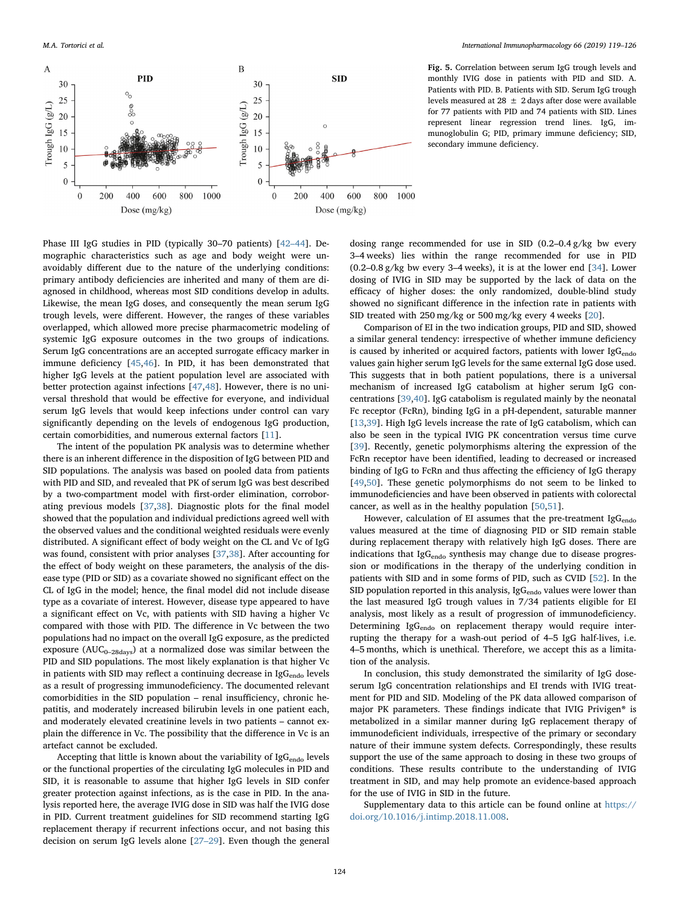<span id="page-5-0"></span>

Fig. 5. Correlation between serum IgG trough levels and monthly IVIG dose in patients with PID and SID. A. Patients with PID. B. Patients with SID. Serum IgG trough levels measured at 28  $\pm$  2 days after dose were available for 77 patients with PID and 74 patients with SID. Lines represent linear regression trend lines. IgG, immunoglobulin G; PID, primary immune deficiency; SID, secondary immune deficiency.

Phase III IgG studies in PID (typically 30–70 patients) [\[42](#page-6-32)–44]. Demographic characteristics such as age and body weight were unavoidably different due to the nature of the underlying conditions: primary antibody deficiencies are inherited and many of them are diagnosed in childhood, whereas most SID conditions develop in adults. Likewise, the mean IgG doses, and consequently the mean serum IgG trough levels, were different. However, the ranges of these variables overlapped, which allowed more precise pharmacometric modeling of systemic IgG exposure outcomes in the two groups of indications. Serum IgG concentrations are an accepted surrogate efficacy marker in immune deficiency [\[45](#page-7-0),[46\]](#page-7-1). In PID, it has been demonstrated that higher IgG levels at the patient population level are associated with better protection against infections [\[47](#page-7-2),[48\]](#page-7-3). However, there is no universal threshold that would be effective for everyone, and individual serum IgG levels that would keep infections under control can vary significantly depending on the levels of endogenous IgG production, certain comorbidities, and numerous external factors [\[11](#page-6-5)].

The intent of the population PK analysis was to determine whether there is an inherent difference in the disposition of IgG between PID and SID populations. The analysis was based on pooled data from patients with PID and SID, and revealed that PK of serum IgG was best described by a two-compartment model with first-order elimination, corroborating previous models [[37](#page-6-27)[,38](#page-6-28)]. Diagnostic plots for the final model showed that the population and individual predictions agreed well with the observed values and the conditional weighted residuals were evenly distributed. A significant effect of body weight on the CL and Vc of IgG was found, consistent with prior analyses [\[37](#page-6-27),[38\]](#page-6-28). After accounting for the effect of body weight on these parameters, the analysis of the disease type (PID or SID) as a covariate showed no significant effect on the CL of IgG in the model; hence, the final model did not include disease type as a covariate of interest. However, disease type appeared to have a significant effect on Vc, with patients with SID having a higher Vc compared with those with PID. The difference in Vc between the two populations had no impact on the overall IgG exposure, as the predicted exposure ( $AUC_{0-28\text{days}}$ ) at a normalized dose was similar between the PID and SID populations. The most likely explanation is that higher Vc in patients with SID may reflect a continuing decrease in  $\lg G_{\text{endo}}$  levels as a result of progressing immunodeficiency. The documented relevant comorbidities in the SID population – renal insufficiency, chronic hepatitis, and moderately increased bilirubin levels in one patient each, and moderately elevated creatinine levels in two patients – cannot explain the difference in Vc. The possibility that the difference in Vc is an artefact cannot be excluded.

Accepting that little is known about the variability of IgG<sub>endo</sub> levels or the functional properties of the circulating IgG molecules in PID and SID, it is reasonable to assume that higher IgG levels in SID confer greater protection against infections, as is the case in PID. In the analysis reported here, the average IVIG dose in SID was half the IVIG dose in PID. Current treatment guidelines for SID recommend starting IgG replacement therapy if recurrent infections occur, and not basing this decision on serum IgG levels alone [27–[29\]](#page-6-16). Even though the general

dosing range recommended for use in SID (0.2–0.4 g/kg bw every 3–4 weeks) lies within the range recommended for use in PID  $(0.2-0.8 \text{ g/kg}$  bw every 3–4 weeks), it is at the lower end [\[34](#page-6-24)]. Lower dosing of IVIG in SID may be supported by the lack of data on the efficacy of higher doses: the only randomized, double-blind study showed no significant difference in the infection rate in patients with SID treated with 250 mg/kg or 500 mg/kg every 4 weeks [\[20](#page-6-33)].

Comparison of EI in the two indication groups, PID and SID, showed a similar general tendency: irrespective of whether immune deficiency is caused by inherited or acquired factors, patients with lower  $\lg G_{endo}$ values gain higher serum IgG levels for the same external IgG dose used. This suggests that in both patient populations, there is a universal mechanism of increased IgG catabolism at higher serum IgG concentrations [\[39](#page-6-29)[,40](#page-6-30)]. IgG catabolism is regulated mainly by the neonatal Fc receptor (FcRn), binding IgG in a pH-dependent, saturable manner [[13](#page-6-34)[,39](#page-6-29)]. High IgG levels increase the rate of IgG catabolism, which can also be seen in the typical IVIG PK concentration versus time curve [[39\]](#page-6-29). Recently, genetic polymorphisms altering the expression of the FcRn receptor have been identified, leading to decreased or increased binding of IgG to FcRn and thus affecting the efficiency of IgG therapy [[49](#page-7-4)[,50](#page-7-5)]. These genetic polymorphisms do not seem to be linked to immunodeficiencies and have been observed in patients with colorectal cancer, as well as in the healthy population [[50,](#page-7-5)[51\]](#page-7-6).

However, calculation of EI assumes that the pre-treatment  $\text{IgG}_{\text{endo}}$ values measured at the time of diagnosing PID or SID remain stable during replacement therapy with relatively high IgG doses. There are indications that  $IgG_{endo}$  synthesis may change due to disease progression or modifications in the therapy of the underlying condition in patients with SID and in some forms of PID, such as CVID [\[52](#page-7-7)]. In the SID population reported in this analysis, Ig $G_{\text{endo}}$  values were lower than the last measured IgG trough values in 7/34 patients eligible for EI analysis, most likely as a result of progression of immunodeficiency. Determining IgG<sub>endo</sub> on replacement therapy would require interrupting the therapy for a wash-out period of 4–5 IgG half-lives, i.e. 4–5 months, which is unethical. Therefore, we accept this as a limitation of the analysis.

In conclusion, this study demonstrated the similarity of IgG doseserum IgG concentration relationships and EI trends with IVIG treatment for PID and SID. Modeling of the PK data allowed comparison of major PK parameters. These findings indicate that IVIG Privigen® is metabolized in a similar manner during IgG replacement therapy of immunodeficient individuals, irrespective of the primary or secondary nature of their immune system defects. Correspondingly, these results support the use of the same approach to dosing in these two groups of conditions. These results contribute to the understanding of IVIG treatment in SID, and may help promote an evidence-based approach for the use of IVIG in SID in the future.

Supplementary data to this article can be found online at [https://](https://doi.org/10.1016/j.intimp.2018.11.008) [doi.org/10.1016/j.intimp.2018.11.008.](https://doi.org/10.1016/j.intimp.2018.11.008)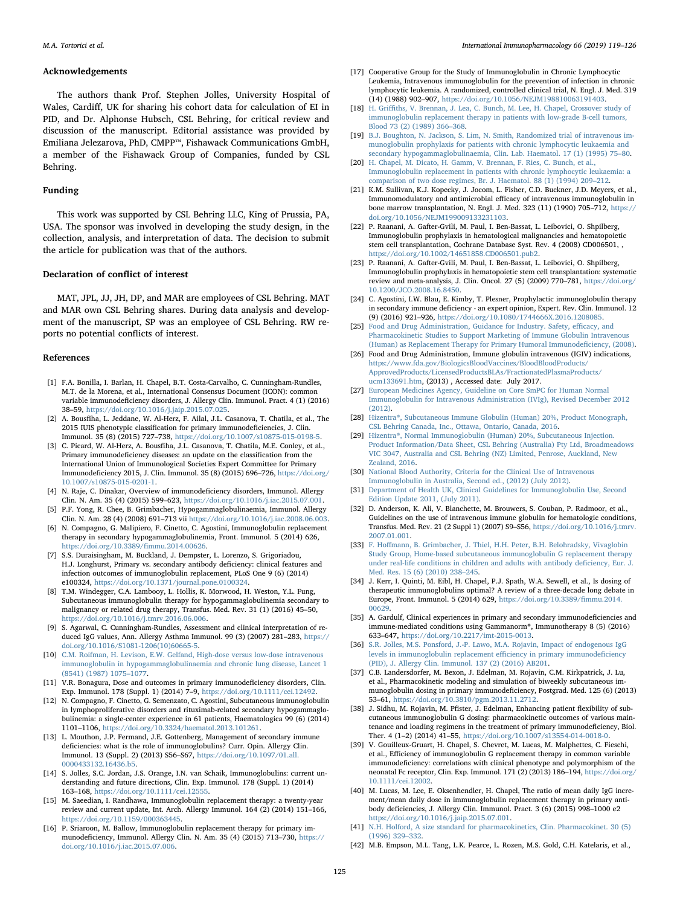### Acknowledgements

The authors thank Prof. Stephen Jolles, University Hospital of Wales, Cardiff, UK for sharing his cohort data for calculation of EI in PID, and Dr. Alphonse Hubsch, CSL Behring, for critical review and discussion of the manuscript. Editorial assistance was provided by Emiliana Jelezarova, PhD, CMPP™, Fishawack Communications GmbH, a member of the Fishawack Group of Companies, funded by CSL Behring.

## Funding

This work was supported by CSL Behring LLC, King of Prussia, PA, USA. The sponsor was involved in developing the study design, in the collection, analysis, and interpretation of data. The decision to submit the article for publication was that of the authors.

## Declaration of conflict of interest

MAT, JPL, JJ, JH, DP, and MAR are employees of CSL Behring. MAT and MAR own CSL Behring shares. During data analysis and development of the manuscript, SP was an employee of CSL Behring. RW reports no potential conflicts of interest.

#### References

- <span id="page-6-0"></span>[1] F.A. Bonilla, I. Barlan, H. Chapel, B.T. Costa-Carvalho, C. Cunningham-Rundles, M.T. de la Morena, et al., International Consensus Document (ICON): common variable immunodeficiency disorders, J. Allergy Clin. Immunol. Pract. 4 (1) (2016) 38–59, [https://doi.org/10.1016/j.jaip.2015.07.025.](https://doi.org/10.1016/j.jaip.2015.07.025)
- [2] A. Bousfiha, L. Jeddane, W. Al-Herz, F. Ailal, J.L. Casanova, T. Chatila, et al., The 2015 IUIS phenotypic classification for primary immunodeficiencies, J. Clin. Immunol. 35 (8) (2015) 727–738, [https://doi.org/10.1007/s10875-015-0198-5.](https://doi.org/10.1007/s10875-015-0198-5)
- [3] C. Picard, W. Al-Herz, A. Bousfiha, J.L. Casanova, T. Chatila, M.E. Conley, et al., Primary immunodeficiency diseases: an update on the classification from the International Union of Immunological Societies Expert Committee for Primary Immunodeficiency 2015, J. Clin. Immunol. 35 (8) (2015) 696–726, [https://doi.org/](https://doi.org/10.1007/s10875-015-0201-1) [10.1007/s10875-015-0201-1.](https://doi.org/10.1007/s10875-015-0201-1)
- [4] N. Raje, C. Dinakar, Overview of immunodeficiency disorders, Immunol. Allergy Clin. N. Am. 35 (4) (2015) 599–623, [https://doi.org/10.1016/j.iac.2015.07.001.](https://doi.org/10.1016/j.iac.2015.07.001)
- <span id="page-6-1"></span>[5] P.F. Yong, R. Chee, B. Grimbacher, Hypogammaglobulinaemia, Immunol. Allergy Clin. N. Am. 28 (4) (2008) 691–713 vii [https://doi.org/10.1016/j.iac.2008.06.003.](https://doi.org/10.1016/j.iac.2008.06.003)
- <span id="page-6-22"></span>[6] N. Compagno, G. Malipiero, F. Cinetto, C. Agostini, Immunoglobulin replacement therapy in secondary hypogammaglobulinemia, Front. Immunol. 5 (2014) 626, [https://doi.org/10.3389/](https://doi.org/10.3389/fimmu.2014.00626)fimmu.2014.00626.
- <span id="page-6-6"></span>[7] S.S. Duraisingham, M. Buckland, J. Dempster, L. Lorenzo, S. Grigoriadou, H.J. Longhurst, Primary vs. secondary antibody deficiency: clinical features and infection outcomes of immunoglobulin replacement, PLoS One 9 (6) (2014) e100324, [https://doi.org/10.1371/journal.pone.0100324.](https://doi.org/10.1371/journal.pone.0100324)
- <span id="page-6-2"></span>[8] T.M. Windegger, C.A. Lambooy, L. Hollis, K. Morwood, H. Weston, Y.L. Fung, Subcutaneous immunoglobulin therapy for hypogammaglobulinemia secondary to malignancy or related drug therapy, Transfus. Med. Rev. 31 (1) (2016) 45–50, [https://doi.org/10.1016/j.tmrv.2016.06.006.](https://doi.org/10.1016/j.tmrv.2016.06.006)
- <span id="page-6-3"></span>[9] S. Agarwal, C. Cunningham-Rundles, Assessment and clinical interpretation of reduced IgG values, Ann. Allergy Asthma Immunol. 99 (3) (2007) 281–283, [https://](https://doi.org/10.1016/S1081-1206(10)60665-5) [doi.org/10.1016/S1081-1206\(10\)60665-5.](https://doi.org/10.1016/S1081-1206(10)60665-5)
- <span id="page-6-4"></span>[10] [C.M. Roifman, H. Levison, E.W. Gelfand, High-dose versus low-dose intravenous](http://refhub.elsevier.com/S1567-5769(18)30740-9/rf0050) [immunoglobulin in hypogammaglobulinaemia and chronic lung disease, Lancet 1](http://refhub.elsevier.com/S1567-5769(18)30740-9/rf0050) [\(8541\) \(1987\) 1075](http://refhub.elsevier.com/S1567-5769(18)30740-9/rf0050)–1077.
- <span id="page-6-5"></span>[11] V.R. Bonagura, Dose and outcomes in primary immunodeficiency disorders, Clin. Exp. Immunol. 178 (Suppl. 1) (2014) 7-9, https://doi.org/10.1111/cei.1249.
- <span id="page-6-7"></span>[12] N. Compagno, F. Cinetto, G. Semenzato, C. Agostini, Subcutaneous immunoglobulin in lymphoproliferative disorders and rituximab-related secondary hypogammaglobulinemia: a single-center experience in 61 patients, Haematologica 99 (6) (2014) 1101–1106, [https://doi.org/10.3324/haematol.2013.101261.](https://doi.org/10.3324/haematol.2013.101261)
- <span id="page-6-34"></span>[13] L. Mouthon, J.P. Fermand, J.E. Gottenberg, Management of secondary immune deficiencies: what is the role of immunoglobulins? Curr. Opin. Allergy Clin. Immunol. 13 (Suppl. 2) (2013) S56–S67, [https://doi.org/10.1097/01.all.](https://doi.org/10.1097/01.all.0000433132.16436.b5) [0000433132.16436.b5.](https://doi.org/10.1097/01.all.0000433132.16436.b5)
- [14] S. Jolles, S.C. Jordan, J.S. Orange, I.N. van Schaik, Immunoglobulins: current understanding and future directions, Clin. Exp. Immunol. 178 (Suppl. 1) (2014) 163-168, https://doi.org/10.1111/cei.125.
- <span id="page-6-8"></span>[15] M. Saeedian, I. Randhawa, Immunoglobulin replacement therapy: a twenty-year review and current update, Int. Arch. Allergy Immunol. 164 (2) (2014) 151–166, [https://doi.org/10.1159/000363445.](https://doi.org/10.1159/000363445)
- <span id="page-6-9"></span>[16] P. Sriaroon, M. Ballow, Immunoglobulin replacement therapy for primary immunodeficiency, Immunol. Allergy Clin. N. Am. 35 (4) (2015) 713–730, [https://](https://doi.org/10.1016/j.iac.2015.07.006) [doi.org/10.1016/j.iac.2015.07.006.](https://doi.org/10.1016/j.iac.2015.07.006)
- <span id="page-6-10"></span>[17] Cooperative Group for the Study of Immunoglobulin in Chronic Lymphocytic Leukemia, Intravenous immunoglobulin for the prevention of infection in chronic lymphocytic leukemia. A randomized, controlled clinical trial, N. Engl. J. Med. 319 (14) (1988) 902–907, [https://doi.org/10.1056/NEJM198810063191403.](https://doi.org/10.1056/NEJM198810063191403)
- [18] H. Griffi[ths, V. Brennan, J. Lea, C. Bunch, M. Lee, H. Chapel, Crossover study of](http://refhub.elsevier.com/S1567-5769(18)30740-9/rf0090) [immunoglobulin replacement therapy in patients with low-grade B-cell tumors,](http://refhub.elsevier.com/S1567-5769(18)30740-9/rf0090) [Blood 73 \(2\) \(1989\) 366](http://refhub.elsevier.com/S1567-5769(18)30740-9/rf0090)–368.
- [19] [B.J. Boughton, N. Jackson, S. Lim, N. Smith, Randomized trial of intravenous im](http://refhub.elsevier.com/S1567-5769(18)30740-9/rf0095)[munoglobulin prophylaxis for patients with chronic lymphocytic leukaemia and](http://refhub.elsevier.com/S1567-5769(18)30740-9/rf0095) [secondary hypogammaglobulinaemia, Clin. Lab. Haematol. 17 \(1\) \(1995\) 75](http://refhub.elsevier.com/S1567-5769(18)30740-9/rf0095)–80.
- <span id="page-6-33"></span>[20] [H. Chapel, M. Dicato, H. Gamm, V. Brennan, F. Ries, C. Bunch, et al.,](http://refhub.elsevier.com/S1567-5769(18)30740-9/rf0100) [Immunoglobulin replacement in patients with chronic lymphocytic leukaemia: a](http://refhub.elsevier.com/S1567-5769(18)30740-9/rf0100) [comparison of two dose regimes, Br. J. Haematol. 88 \(1\) \(1994\) 209](http://refhub.elsevier.com/S1567-5769(18)30740-9/rf0100)–212.
- [21] K.M. Sullivan, K.J. Kopecky, J. Jocom, L. Fisher, C.D. Buckner, J.D. Meyers, et al., Immunomodulatory and antimicrobial efficacy of intravenous immunoglobulin in bone marrow transplantation, N. Engl. J. Med. 323 (11) (1990) 705–712, [https://](https://doi.org/10.1056/NEJM199009133231103) [doi.org/10.1056/NEJM199009133231103.](https://doi.org/10.1056/NEJM199009133231103)
- <span id="page-6-11"></span>[22] P. Raanani, A. Gafter-Gvili, M. Paul, I. Ben-Bassat, L. Leibovici, O. Shpilberg, Immunoglobulin prophylaxis in hematological malignancies and hematopoietic stem cell transplantation, Cochrane Database Syst. Rev. 4 (2008) CD006501, , [https://doi.org/10.1002/14651858.CD006501.pub2.](https://doi.org/10.1002/14651858.CD006501.pub2)
- <span id="page-6-12"></span>[23] P. Raanani, A. Gafter-Gvili, M. Paul, I. Ben-Bassat, L. Leibovici, O. Shpilberg, Immunoglobulin prophylaxis in hematopoietic stem cell transplantation: systematic review and meta-analysis, J. Clin. Oncol. 27 (5) (2009) 770–781, [https://doi.org/](https://doi.org/10.1200/JCO.2008.16.8450) [10.1200/JCO.2008.16.8450.](https://doi.org/10.1200/JCO.2008.16.8450)
- <span id="page-6-13"></span>[24] C. Agostini, I.W. Blau, E. Kimby, T. Plesner, Prophylactic immunoglobulin therapy in secondary immune deficiency - an expert opinion, Expert. Rev. Clin. Immunol. 12 (9) (2016) 921–926, [https://doi.org/10.1080/1744666X.2016.1208085.](https://doi.org/10.1080/1744666X.2016.1208085)
- <span id="page-6-14"></span>[25] [Food and Drug Administration, Guidance for Industry. Safety, e](http://refhub.elsevier.com/S1567-5769(18)30740-9/rf0125)fficacy, and [Pharmacokinetic Studies to Support Marketing of Immune Globulin Intravenous](http://refhub.elsevier.com/S1567-5769(18)30740-9/rf0125) [\(Human\) as Replacement Therapy for Primary Humoral Immunode](http://refhub.elsevier.com/S1567-5769(18)30740-9/rf0125)ficiency, (2008).
- <span id="page-6-15"></span>[26] Food and Drug Administration, Immune globulin intravenous (IGIV) indications, [https://www.fda.gov/BiologicsBloodVaccines/BloodBloodProducts/](https://www.fda.gov/BiologicsBloodVaccines/BloodBloodProducts/ApprovedProducts/LicensedProductsBLAs/FractionatedPlasmaProducts/ucm133691.htm) [ApprovedProducts/LicensedProductsBLAs/FractionatedPlasmaProducts/](https://www.fda.gov/BiologicsBloodVaccines/BloodBloodProducts/ApprovedProducts/LicensedProductsBLAs/FractionatedPlasmaProducts/ucm133691.htm) [ucm133691.htm,](https://www.fda.gov/BiologicsBloodVaccines/BloodBloodProducts/ApprovedProducts/LicensedProductsBLAs/FractionatedPlasmaProducts/ucm133691.htm) (2013) , Accessed date: July 2017.
- <span id="page-6-16"></span>[27] [European Medicines Agency, Guideline on Core SmPC for Human Normal](http://refhub.elsevier.com/S1567-5769(18)30740-9/rf0135) [Immunoglobulin for Intravenous Administration \(IVIg\), Revised December 2012](http://refhub.elsevier.com/S1567-5769(18)30740-9/rf0135) [\(2012\).](http://refhub.elsevier.com/S1567-5769(18)30740-9/rf0135)
- <span id="page-6-17"></span>[28] Hizentra®[, Subcutaneous Immune Globulin \(Human\) 20%, Product Monograph,](http://refhub.elsevier.com/S1567-5769(18)30740-9/rf0140) [CSL Behring Canada, Inc., Ottawa, Ontario, Canada, 2016.](http://refhub.elsevier.com/S1567-5769(18)30740-9/rf0140)
- <span id="page-6-18"></span>[29] Hizentra®[, Normal Immunoglobulin \(Human\) 20%, Subcutaneous Injection.](http://refhub.elsevier.com/S1567-5769(18)30740-9/rf0145) [Product Information/Data Sheet, CSL Behring \(Australia\) Pty Ltd, Broadmeadows](http://refhub.elsevier.com/S1567-5769(18)30740-9/rf0145) [VIC 3047, Australia and CSL Behring \(NZ\) Limited, Penrose, Auckland, New](http://refhub.elsevier.com/S1567-5769(18)30740-9/rf0145) [Zealand, 2016.](http://refhub.elsevier.com/S1567-5769(18)30740-9/rf0145)
- <span id="page-6-19"></span>[30] [National Blood Authority, Criteria for the Clinical Use of Intravenous](http://refhub.elsevier.com/S1567-5769(18)30740-9/rf0150) [Immunoglobulin in Australia, Second ed., \(2012\) \(July 2012\).](http://refhub.elsevier.com/S1567-5769(18)30740-9/rf0150)
- <span id="page-6-20"></span>[31] [Department of Health UK, Clinical Guidelines for Immunoglobulin Use, Second](http://refhub.elsevier.com/S1567-5769(18)30740-9/rf0155) [Edition Update 2011, \(July 2011\).](http://refhub.elsevier.com/S1567-5769(18)30740-9/rf0155)
- <span id="page-6-21"></span>[32] D. Anderson, K. Ali, V. Blanchette, M. Brouwers, S. Couban, P. Radmoor, et al., Guidelines on the use of intravenous immune globulin for hematologic conditions, Transfus. Med. Rev. 21 (2 Suppl 1) (2007) S9–S56, [https://doi.org/10.1016/j.tmrv.](https://doi.org/10.1016/j.tmrv.2007.01.001) [2007.01.001.](https://doi.org/10.1016/j.tmrv.2007.01.001)
- <span id="page-6-23"></span>[33] F. Hoff[mann, B. Grimbacher, J. Thiel, H.H. Peter, B.H. Belohradsky, Vivaglobin](http://refhub.elsevier.com/S1567-5769(18)30740-9/rf0165) [Study Group, Home-based subcutaneous immunoglobulin G replacement therapy](http://refhub.elsevier.com/S1567-5769(18)30740-9/rf0165) [under real-life conditions in children and adults with antibody de](http://refhub.elsevier.com/S1567-5769(18)30740-9/rf0165)ficiency, Eur. J. [Med. Res. 15 \(6\) \(2010\) 238](http://refhub.elsevier.com/S1567-5769(18)30740-9/rf0165)–245.
- <span id="page-6-24"></span>[34] J. Kerr, I. Quinti, M. Eibl, H. Chapel, P.J. Spath, W.A. Sewell, et al., Is dosing of therapeutic immunoglobulins optimal? A review of a three-decade long debate in Europe, Front. Immunol. 5 (2014) 629, [https://doi.org/10.3389/](https://doi.org/10.3389/fimmu.2014.00629)fimmu.2014. [00629.](https://doi.org/10.3389/fimmu.2014.00629)
- <span id="page-6-25"></span>[35] A. Gardulf, Clinical experiences in primary and secondary immunodeficiencies and immune-mediated conditions using Gammanorm®, Immunotherapy 8 (5) (2016) 633–647, [https://doi.org/10.2217/imt-2015-0013.](https://doi.org/10.2217/imt-2015-0013)
- <span id="page-6-26"></span>[36] [S.R. Jolles, M.S. Ponsford, J.-P. Lawo, M.A. Rojavin, Impact of endogenous IgG](http://refhub.elsevier.com/S1567-5769(18)30740-9/rf0180) [levels in immunoglobulin replacement e](http://refhub.elsevier.com/S1567-5769(18)30740-9/rf0180)fficiency in primary immunodeficiency [\(PID\), J. Allergy Clin. Immunol. 137 \(2\) \(2016\) AB201.](http://refhub.elsevier.com/S1567-5769(18)30740-9/rf0180)
- <span id="page-6-27"></span>[37] C.B. Landersdorfer, M. Bexon, J. Edelman, M. Rojavin, C.M. Kirkpatrick, J. Lu, et al., Pharmacokinetic modeling and simulation of biweekly subcutaneous immunoglobulin dosing in primary immunodeficiency, Postgrad. Med. 125 (6) (2013) 53–61, [https://doi.org/10.3810/pgm.2013.11.2712.](https://doi.org/10.3810/pgm.2013.11.2712)
- <span id="page-6-28"></span>[38] J. Sidhu, M. Rojavin, M. Pfister, J. Edelman, Enhancing patient flexibility of subcutaneous immunoglobulin G dosing: pharmacokinetic outcomes of various maintenance and loading regimens in the treatment of primary immunodeficiency, Biol. Ther. 4 (1–2) (2014) 41–55, [https://doi.org/10.1007/s13554-014-0018-0.](https://doi.org/10.1007/s13554-014-0018-0)
- <span id="page-6-29"></span>[39] V. Gouilleux-Gruart, H. Chapel, S. Chevret, M. Lucas, M. Malphettes, C. Fieschi, et al., Efficiency of immunoglobulin G replacement therapy in common variable immunodeficiency: correlations with clinical phenotype and polymorphism of the neonatal Fc receptor, Clin. Exp. Immunol. 171 (2) (2013) 186–194, [https://doi.org/](https://doi.org/10.1111/cei.12002) [10.1111/cei.12002.](https://doi.org/10.1111/cei.12002)
- <span id="page-6-30"></span>[40] M. Lucas, M. Lee, E. Oksenhendler, H. Chapel, The ratio of mean daily IgG increment/mean daily dose in immunoglobulin replacement therapy in primary antibody deficiencies, J. Allergy Clin. Immunol. Pract. 3 (6) (2015) 998–1000 e2 [https://doi.org/10.1016/j.jaip.2015.07.001.](https://doi.org/10.1016/j.jaip.2015.07.001)
- <span id="page-6-31"></span>[41] [N.H. Holford, A size standard for pharmacokinetics, Clin. Pharmacokinet. 30 \(5\)](http://refhub.elsevier.com/S1567-5769(18)30740-9/rf0205) [\(1996\) 329](http://refhub.elsevier.com/S1567-5769(18)30740-9/rf0205)–332.
- <span id="page-6-32"></span>[42] M.B. Empson, M.L. Tang, L.K. Pearce, L. Rozen, M.S. Gold, C.H. Katelaris, et al.,